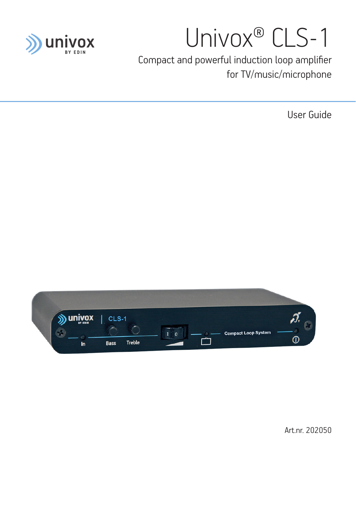

# Univox® CLS-1

Compact and powerful induction loop amplifier for TV/music/microphone

User Guide



Art.nr. 202050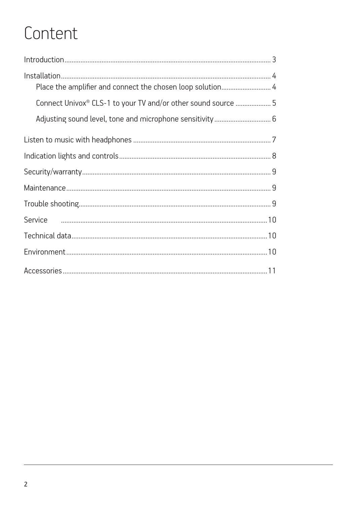### Content

| Place the amplifier and connect the chosen loop solution 4               |  |
|--------------------------------------------------------------------------|--|
| Connect Univox <sup>®</sup> CLS-1 to your TV and/or other sound source 5 |  |
|                                                                          |  |
|                                                                          |  |
|                                                                          |  |
|                                                                          |  |
|                                                                          |  |
|                                                                          |  |
|                                                                          |  |
|                                                                          |  |
|                                                                          |  |
|                                                                          |  |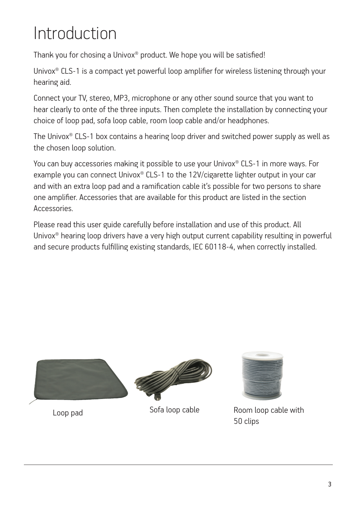## Introduction

Thank you for chosing a Univox® product. We hope you will be satisfied!

Univox<sup>®</sup> CLS-1 is a compact yet powerful loop amplifier for wireless listening through your hearing aid.

Connect your TV, stereo, MP3, microphone or any other sound source that you want to hear clearly to onte of the three inputs. Then complete the installation by connecting your choice of loop pad, sofa loop cable, room loop cable and/or headphones.

The Univox® CLS-1 box contains a hearing loop driver and switched power supply as well as the chosen loop solution.

You can buy accessories making it possible to use your Univox® CLS-1 in more ways. For example you can connect Univox® CLS-1 to the 12V/cigarette lighter output in your car and with an extra loop pad and a ramification cable it's possible for two persons to share one amplifier. Accessories that are available for this product are listed in the section Accessories.

Please read this user guide carefully before installation and use of this product. All Univox<sup>®</sup> hearing loop drivers have a very high output current capability resulting in powerful and secure products fulfilling existing standards, IEC 60118-4, when correctly installed.





Loop pad Sofa loop cable Room loop cable with 50 clips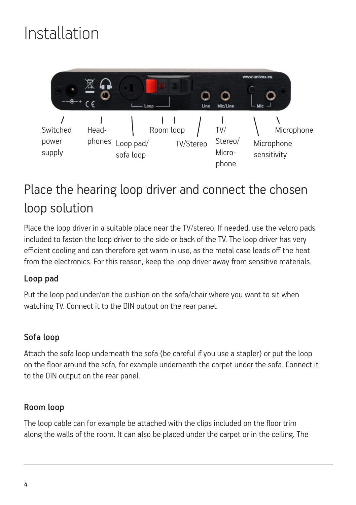### Installation



### Place the hearing loop driver and connect the chosen loop solution

Place the loop driver in a suitable place near the TV/stereo. If needed, use the velcro pads included to fasten the loop driver to the side or back of the TV. The loop driver has very efficient cooling and can therefore get warm in use, as the metal case leads off the heat from the electronics. For this reason, keep the loop driver away from sensitive materials.

#### Loop pad

Put the loop pad under/on the cushion on the sofa/chair where you want to sit when watching TV. Connect it to the DIN output on the rear panel.

#### Sofa loop

Attach the sofa loop underneath the sofa (be careful if you use a stapler) or put the loop on the floor around the sofa, for example underneath the carpet under the sofa. Connect it to the DIN output on the rear panel.

#### Room loop

The loop cable can for example be attached with the clips included on the floor trim along the walls of the room. It can also be placed under the carpet or in the ceiling. The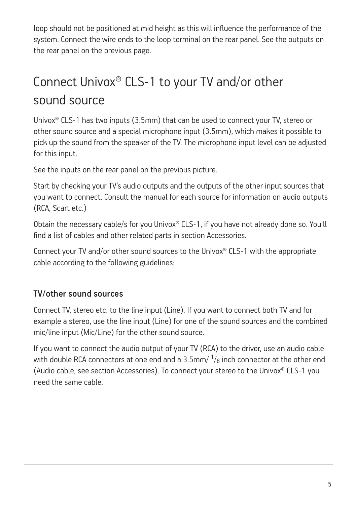loop should not be positioned at mid height as this will influence the performance of the system. Connect the wire ends to the loop terminal on the rear panel. See the outputs on the rear panel on the previous page.

### Connect Univox® CLS-1 to your TV and/or other sound source

Univox® CLS-1 has two inputs (3.5mm) that can be used to connect your TV, stereo or other sound source and a special microphone input (3.5mm), which makes it possible to pick up the sound from the speaker of the TV. The microphone input level can be adjusted for this input.

See the inputs on the rear panel on the previous picture.

Start by checking your TV's audio outputs and the outputs of the other input sources that you want to connect. Consult the manual for each source for information on audio outputs (RCA, Scart etc.)

Obtain the necessary cable/s for you Univox® CLS-1, if you have not already done so. You'll find a list of cables and other related parts in section Accessories.

Connect your TV and/or other sound sources to the Univox® CLS-1 with the appropriate cable according to the following guidelines:

#### TV/other sound sources

Connect TV, stereo etc. to the line input (Line). If you want to connect both TV and for example a stereo, use the line input (Line) for one of the sound sources and the combined mic/line input (Mic/Line) for the other sound source.

If you want to connect the audio output of your TV (RCA) to the driver, use an audio cable with double RCA connectors at one end and a 3.5mm/  $^{1}\!/_{8}$  inch connector at the other end (Audio cable, see section Accessories). To connect your stereo to the Univox® CLS-1 you need the same cable.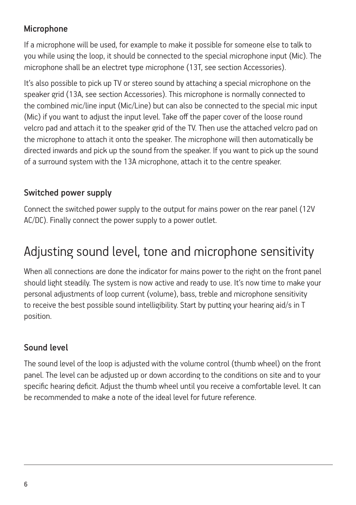#### Microphone

If a microphone will be used, for example to make it possible for someone else to talk to you while using the loop, it should be connected to the special microphone input (Mic). The microphone shall be an electret type microphone (13T, see section Accessories).

It's also possible to pick up TV or stereo sound by attaching a special microphone on the speaker grid (13A, see section Accessories). This microphone is normally connected to the combined mic/line input (Mic/Line) but can also be connected to the special mic input (Mic) if you want to adjust the input level. Take off the paper cover of the loose round velcro pad and attach it to the speaker grid of the TV. Then use the attached velcro pad on the microphone to attach it onto the speaker. The microphone will then automatically be directed inwards and pick up the sound from the speaker. If you want to pick up the sound of a surround system with the 13A microphone, attach it to the centre speaker.

#### Switched power supply

Connect the switched power supply to the output for mains power on the rear panel (12V AC/DC). Finally connect the power supply to a power outlet.

### Adjusting sound level, tone and microphone sensitivity

When all connections are done the indicator for mains power to the right on the front panel should light steadily. The system is now active and ready to use. It's now time to make your personal adjustments of loop current (volume), bass, treble and microphone sensitivity to receive the best possible sound intelligibility. Start by putting your hearing aid/s in T position.

#### Sound level

The sound level of the loop is adjusted with the volume control (thumb wheel) on the front panel. The level can be adjusted up or down according to the conditions on site and to your specific hearing deficit. Adjust the thumb wheel until you receive a comfortable level. It can be recommended to make a note of the ideal level for future reference.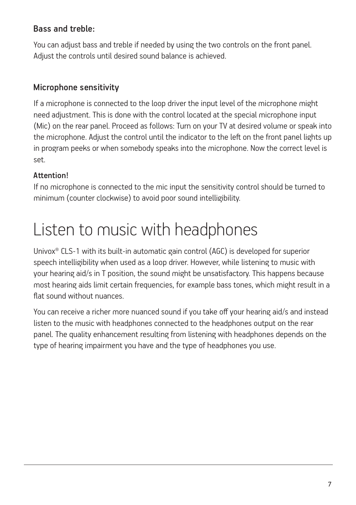#### Bass and treble:

You can adjust bass and treble if needed by using the two controls on the front panel. Adjust the controls until desired sound balance is achieved.

#### Microphone sensitivity

If a microphone is connected to the loop driver the input level of the microphone might need adjustment. This is done with the control located at the special microphone input (Mic) on the rear panel. Proceed as follows: Turn on your TV at desired volume or speak into the microphone. Adjust the control until the indicator to the left on the front panel lights up in program peeks or when somebody speaks into the microphone. Now the correct level is set.

#### Attention!

If no microphone is connected to the mic input the sensitivity control should be turned to minimum (counter clockwise) to avoid poor sound intelligibility.

### Listen to music with headphones

Univox® CLS-1 with its built-in automatic gain control (AGC) is developed for superior speech intelligibility when used as a loop driver. However, while listening to music with your hearing aid/s in T position, the sound might be unsatisfactory. This happens because most hearing aids limit certain frequencies, for example bass tones, which might result in a flat sound without nuances.

You can receive a richer more nuanced sound if you take off your hearing aid/s and instead listen to the music with headphones connected to the headphones output on the rear panel. The quality enhancement resulting from listening with headphones depends on the type of hearing impairment you have and the type of headphones you use.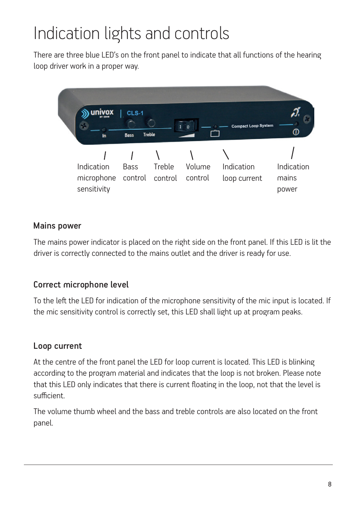### Indication lights and controls

There are three blue LED's on the front panel to indicate that all functions of the hearing loop driver work in a proper way.



#### Mains power

The mains power indicator is placed on the right side on the front panel. If this LED is lit the driver is correctly connected to the mains outlet and the driver is ready for use.

#### Correct microphone level

To the left the LED for indication of the microphone sensitivity of the mic input is located. If the mic sensitivity control is correctly set, this LED shall light up at program peaks.

#### Loop current

At the centre of the front panel the LED for loop current is located. This LED is blinking according to the program material and indicates that the loop is not broken. Please note that this LED only indicates that there is current floating in the loop, not that the level is sufficient.

The volume thumb wheel and the bass and treble controls are also located on the front panel.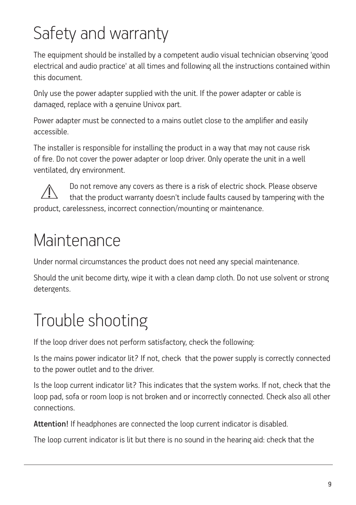## Safety and warranty

The equipment should be installed by a competent audio visual technician observing 'good electrical and audio practice' at all times and following all the instructions contained within this document.

Only use the power adapter supplied with the unit. If the power adapter or cable is damaged, replace with a genuine Univox part.

Power adapter must be connected to a mains outlet close to the amplifier and easily accessible.

The installer is responsible for installing the product in a way that may not cause risk of fire. Do not cover the power adapter or loop driver. Only operate the unit in a well ventilated, dry environment.

Do not remove any covers as there is a risk of electric shock. Please observe that the product warranty doesn't include faults caused by tampering with the product, carelessness, incorrect connection/mounting or maintenance.

### Maintenance

Under normal circumstances the product does not need any special maintenance.

Should the unit become dirty, wipe it with a clean damp cloth. Do not use solvent or strong detergents.

## Trouble shooting

If the loop driver does not perform satisfactory, check the following:

Is the mains power indicator lit? If not, check that the power supply is correctly connected to the power outlet and to the driver.

Is the loop current indicator lit? This indicates that the system works. If not, check that the loop pad, sofa or room loop is not broken and or incorrectly connected. Check also all other connections.

Attention! If headphones are connected the loop current indicator is disabled.

The loop current indicator is lit but there is no sound in the hearing aid: check that the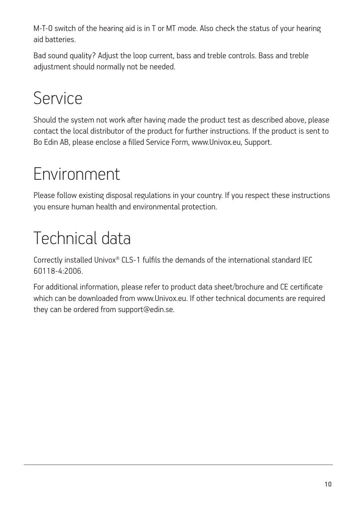M-T-O switch of the hearing aid is in T or MT mode. Also check the status of your hearing aid batteries.

Bad sound quality? Adjust the loop current, bass and treble controls. Bass and treble adjustment should normally not be needed.

### Service

Should the system not work after having made the product test as described above, please contact the local distributor of the product for further instructions. If the product is sent to Bo Edin AB, please enclose a filled Service Form, www.Univox.eu, Support.

## Environment

Please follow existing disposal regulations in your country. If you respect these instructions you ensure human health and environmental protection.

## Technical data

Correctly installed Univox® CLS-1 fulfils the demands of the international standard IEC 60118-4:2006.

For additional information, please refer to product data sheet/brochure and CE certificate which can be downloaded from www.Univox.eu. If other technical documents are required they can be ordered from support@edin.se.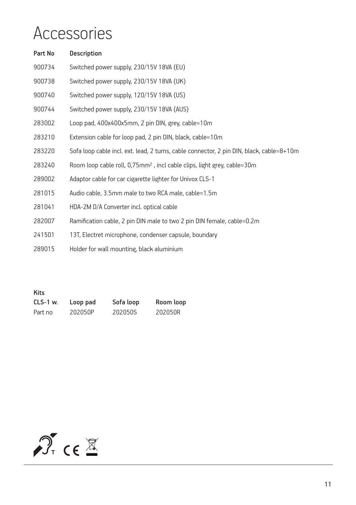### Accessories

| Part No | Description                                                                              |
|---------|------------------------------------------------------------------------------------------|
| 900734  | Switched power supply, 230/15V 18VA (EU)                                                 |
| 900738  | Switched power supply, 230/15V 18VA (UK)                                                 |
| 900740  | Switched power supply, 120/15V 18VA (US)                                                 |
| 900744  | Switched power supply, 230/15V 18VA (AUS)                                                |
| 283002  | Loop pad, 400x400x5mm, 2 pin DIN, grey, cable=10m                                        |
| 283210  | Extension cable for loop pad, 2 pin DIN, black, cable=10m                                |
| 283220  | Sofa loop cable incl. ext. lead, 2 turns, cable connector, 2 pin DIN, black, cable=8+10m |
| 283240  | Room loop cable roll, 0,75mm <sup>2</sup> , incl cable clips, light grey, cable=30m      |
| 289002  | Adaptor cable for car cigarette lighter for Univox CLS-1                                 |
| 281015  | Audio cable, 3.5mm male to two RCA male, cable=1.5m                                      |
| 281041  | HDA-2M D/A Converter incl. optical cable                                                 |
| 282007  | Ramification cable, 2 pin DIN male to two 2 pin DIN female, cable=0.2m                   |
| 241501  | 13T, Electret microphone, condenser capsule, boundary                                    |
| 289015  | Holder for wall mounting, black aluminium                                                |

Kits CLS-1 w. Loop pad Sofa loop Room loop Part no 202050P 202050S 202050R